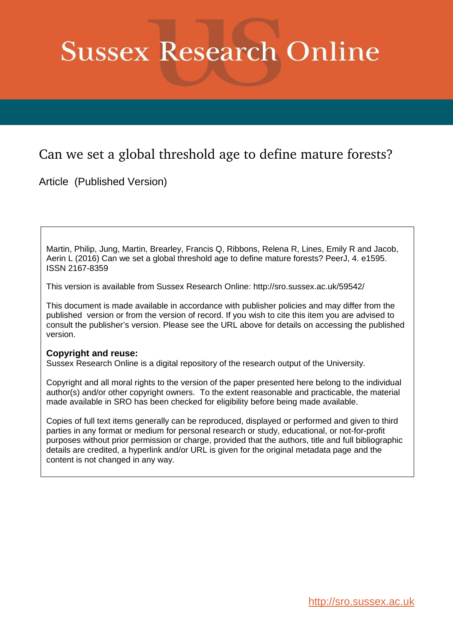# <span id="page-0-12"></span><span id="page-0-11"></span><span id="page-0-10"></span><span id="page-0-9"></span><span id="page-0-8"></span><span id="page-0-7"></span>**Sussex Research Online**

## <span id="page-0-3"></span><span id="page-0-2"></span><span id="page-0-1"></span><span id="page-0-0"></span>Can we set a global threshold age to define mature forests?

<span id="page-0-6"></span><span id="page-0-5"></span><span id="page-0-4"></span>Article (Published Version)

Martin, Philip, Jung, Martin, Brearley, Francis Q, Ribbons, Relena R, Lines, Emily R and Jacob, Aerin L (2016) Can we set a global threshold age to define mature forests? PeerJ, 4. e1595. ISSN 2167-8359

This version is available from Sussex Research Online: http://sro.sussex.ac.uk/59542/

This document is made available in accordance with publisher policies and may differ from the published version or from the version of record. If you wish to cite this item you are advised to consult the publisher's version. Please see the URL above for details on accessing the published version.

#### **Copyright and reuse:**

Sussex Research Online is a digital repository of the research output of the University.

Copyright and all moral rights to the version of the paper presented here belong to the individual author(s) and/or other copyright owners. To the extent reasonable and practicable, the material made available in SRO has been checked for eligibility before being made available.

Copies of full text items generally can be reproduced, displayed or performed and given to third parties in any format or medium for personal research or study, educational, or not-for-profit purposes without prior permission or charge, provided that the authors, title and full bibliographic details are credited, a hyperlink and/or URL is given for the original metadata page and the content is not changed in any way.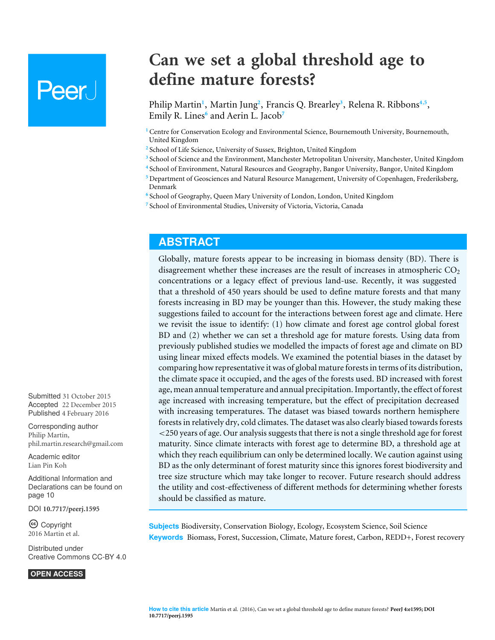## **Peer**

## **Can we set a global threshold age to define mature forests?**

Philip Martin<sup>[1](#page-0-0)</sup>, Martin Jung<sup>[2](#page-0-1)</sup>, Francis Q. Brearley<sup>[3](#page-0-2)</sup>, Relena R. Ribbons<sup>[4](#page-0-3),[5](#page-0-4)</sup>, Emily R. Lines**[6](#page-0-5)** and Aerin L. Jacob**[7](#page-0-6)**

- **<sup>1</sup>** Centre for Conservation Ecology and Environmental Science, Bournemouth University, Bournemouth, United Kingdom
- <sup>2</sup> School of Life Science, University of Sussex, Brighton, United Kingdom
- **3** School of Science and the Environment, Manchester Metropolitan University, Manchester, United Kingdom
- **4** School of Environment, Natural Resources and Geography, Bangor University, Bangor, United Kingdom
- **<sup>5</sup>** Department of Geosciences and Natural Resource Management, University of Copenhagen, Frederiksberg, Denmark
- **6** School of Geography, Queen Mary University of London, London, United Kingdom
- **7** School of Environmental Studies, University of Victoria, Victoria, Canada

## **ABSTRACT**

Globally, mature forests appear to be increasing in biomass density (BD). There is disagreement whether these increases are the result of increases in atmospheric  $CO<sub>2</sub>$ concentrations or a legacy effect of previous land-use. Recently, it was suggested that a threshold of 450 years should be used to define mature forests and that many forests increasing in BD may be younger than this. However, the study making these suggestions failed to account for the interactions between forest age and climate. Here we revisit the issue to identify: (1) how climate and forest age control global forest BD and (2) whether we can set a threshold age for mature forests. Using data from previously published studies we modelled the impacts of forest age and climate on BD using linear mixed effects models. We examined the potential biases in the dataset by comparing how representative it was of global mature forests in terms of its distribution, the climate space it occupied, and the ages of the forests used. BD increased with forest age, mean annual temperature and annual precipitation. Importantly, the effect of forest age increased with increasing temperature, but the effect of precipitation decreased with increasing temperatures. The dataset was biased towards northern hemisphere forests in relatively dry, cold climates. The dataset was also clearly biased towards forests <250 years of age. Our analysis suggests that there is not a single threshold age for forest maturity. Since climate interacts with forest age to determine BD, a threshold age at which they reach equilibrium can only be determined locally. We caution against using BD as the only determinant of forest maturity since this ignores forest biodiversity and tree size structure which may take longer to recover. Future research should address the utility and cost-effectiveness of different methods for determining whether forests should be classified as mature.

**Subjects** Biodiversity, Conservation Biology, Ecology, Ecosystem Science, Soil Science **Keywords** Biomass, Forest, Succession, Climate, Mature forest, Carbon, REDD+, Forest recovery

Submitted 31 October 2015 Accepted 22 December 2015 Published 4 February 2016

Corresponding author Philip Martin, [phil.martin.research@gmail.com](mailto:phil.martin.research@gmail.com)

[Academic editor](https://peerj.com/academic-boards/editors/) [Lian Pin Koh](https://peerj.com/academic-boards/editors/)

[Additional Information and](#page-9-0) [Declarations can be found on](#page-9-0) [page 10](#page-9-0)

DOI **[10.7717/peerj.1595](http://dx.doi.org/10.7717/peerj.1595)**

Ccopyright 2016 Martin et al.

[Distributed under](http://creativecommons.org/licenses/by/4.0/) [Creative Commons CC-BY 4.0](http://creativecommons.org/licenses/by/4.0/)

**OPEN ACCESS**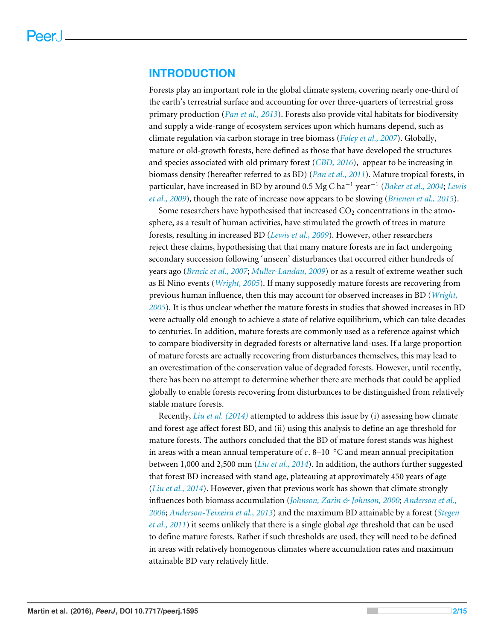#### **INTRODUCTION**

Forests play an important role in the global climate system, covering nearly one-third of the earth's terrestrial surface and accounting for over three-quarters of terrestrial gross primary production (*[Pan et al., 2013](#page-13-0)*). Forests also provide vital habitats for biodiversity and supply a wide-range of ecosystem services upon which humans depend, such as climate regulation via carbon storage in tree biomass (*[Foley et al., 2007](#page-11-0)*). Globally, mature or old-growth forests, here defined as those that have developed the structures and species associated with old primary forest (*[CBD, 2016](#page-10-0)*), appear to be increasing in biomass density (hereafter referred to as BD) (*[Pan et al., 2011](#page-13-1)*). Mature tropical forests, in particular, have increased in BD by around 0.5 Mg C ha−<sup>1</sup> year−<sup>1</sup> (*[Baker et al., 2004](#page-9-1)*; *[Lewis](#page-12-0) [et al., 2009](#page-12-0)*), though the rate of increase now appears to be slowing (*[Brienen et al., 2015](#page-10-1)*).

Some researchers have hypothesised that increased  $CO<sub>2</sub>$  concentrations in the atmosphere, as a result of human activities, have stimulated the growth of trees in mature forests, resulting in increased BD (*[Lewis et al., 2009](#page-12-0)*). However, other researchers reject these claims, hypothesising that that many mature forests are in fact undergoing secondary succession following 'unseen' disturbances that occurred either hundreds of years ago (*[Brncic et al., 2007](#page-10-2)*; *[Muller-Landau, 2009](#page-12-1)*) or as a result of extreme weather such as El Niño events (*[Wright, 2005](#page-13-2)*). If many supposedly mature forests are recovering from previous human influence, then this may account for observed increases in BD (*[Wright,](#page-13-2) [2005](#page-13-2)*). It is thus unclear whether the mature forests in studies that showed increases in BD were actually old enough to achieve a state of relative equilibrium, which can take decades to centuries. In addition, mature forests are commonly used as a reference against which to compare biodiversity in degraded forests or alternative land-uses. If a large proportion of mature forests are actually recovering from disturbances themselves, this may lead to an overestimation of the conservation value of degraded forests. However, until recently, there has been no attempt to determine whether there are methods that could be applied globally to enable forests recovering from disturbances to be distinguished from relatively stable mature forests.

Recently, *[Liu et al. \(2014\)](#page-12-2)* attempted to address this issue by (i) assessing how climate and forest age affect forest BD, and (ii) using this analysis to define an age threshold for mature forests. The authors concluded that the BD of mature forest stands was highest in areas with a mean annual temperature of  $c$ . 8–10  $\degree$ C and mean annual precipitation between 1,000 and 2,500 mm (*[Liu et al., 2014](#page-12-2)*). In addition, the authors further suggested that forest BD increased with stand age, plateauing at approximately 450 years of age (*[Liu et al., 2014](#page-12-2)*). However, given that previous work has shown that climate strongly influences both biomass accumulation (*[Johnson, Zarin & Johnson, 2000](#page-11-1)*; *[Anderson et al.,](#page-9-2) [2006](#page-9-2)*; *[Anderson-Teixeira et al., 2013](#page-9-3)*) and the maximum BD attainable by a forest (*[Stegen](#page-13-3) [et al., 2011](#page-13-3)*) it seems unlikely that there is a single global *age* threshold that can be used to define mature forests. Rather if such thresholds are used, they will need to be defined in areas with relatively homogenous climates where accumulation rates and maximum attainable BD vary relatively little.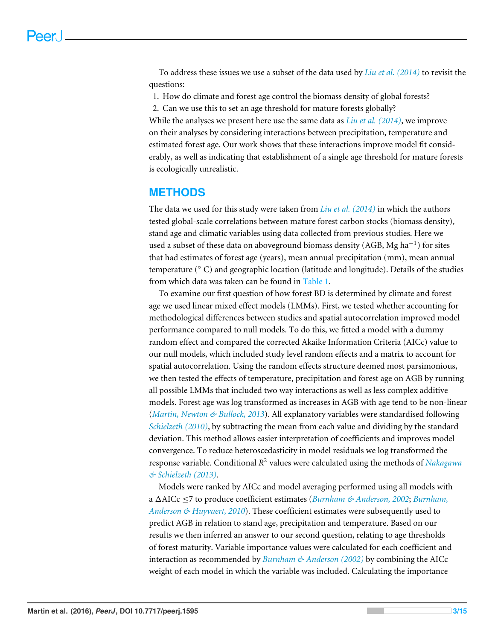To address these issues we use a subset of the data used by *[Liu et al. \(2014\)](#page-12-2)* to revisit the questions:

1. How do climate and forest age control the biomass density of global forests?

2. Can we use this to set an age threshold for mature forests globally?

While the analyses we present here use the same data as *[Liu et al. \(2014\)](#page-12-2)*, we improve on their analyses by considering interactions between precipitation, temperature and estimated forest age. Our work shows that these interactions improve model fit considerably, as well as indicating that establishment of a single age threshold for mature forests is ecologically unrealistic.

#### **METHODS**

The data we used for this study were taken from *[Liu et al. \(2014\)](#page-12-2)* in which the authors tested global-scale correlations between mature forest carbon stocks (biomass density), stand age and climatic variables using data collected from previous studies. Here we used a subset of these data on aboveground biomass density (AGB, Mg ha<sup>-1</sup>) for sites that had estimates of forest age (years), mean annual precipitation (mm), mean annual temperature (◦ C) and geographic location (latitude and longitude). Details of the studies from which data was taken can be found in [Table 1.](#page-5-0)

To examine our first question of how forest BD is determined by climate and forest age we used linear mixed effect models (LMMs). First, we tested whether accounting for methodological differences between studies and spatial autocorrelation improved model performance compared to null models. To do this, we fitted a model with a dummy random effect and compared the corrected Akaike Information Criteria (AICc) value to our null models, which included study level random effects and a matrix to account for spatial autocorrelation. Using the random effects structure deemed most parsimonious, we then tested the effects of temperature, precipitation and forest age on AGB by running all possible LMMs that included two way interactions as well as less complex additive models. Forest age was log transformed as increases in AGB with age tend to be non-linear (*[Martin, Newton & Bullock, 2013](#page-12-3)*). All explanatory variables were standardised following *[Schielzeth \(2010\)](#page-13-4)*, by subtracting the mean from each value and dividing by the standard deviation. This method allows easier interpretation of coefficients and improves model convergence. To reduce heteroscedasticity in model residuals we log transformed the response variable. Conditional *R* 2 values were calculated using the methods of *[Nakagawa](#page-13-5) [& Schielzeth \(2013\)](#page-13-5)*.

Models were ranked by AICc and model averaging performed using all models with a 1AICc ≤7 to produce coefficient estimates (*[Burnham & Anderson, 2002](#page-10-3)*; *[Burnham,](#page-10-4) [Anderson & Huyvaert, 2010](#page-10-4)*). These coefficient estimates were subsequently used to predict AGB in relation to stand age, precipitation and temperature. Based on our results we then inferred an answer to our second question, relating to age thresholds of forest maturity. Variable importance values were calculated for each coefficient and interaction as recommended by *[Burnham & Anderson \(2002\)](#page-10-3)* by combining the AICc weight of each model in which the variable was included. Calculating the importance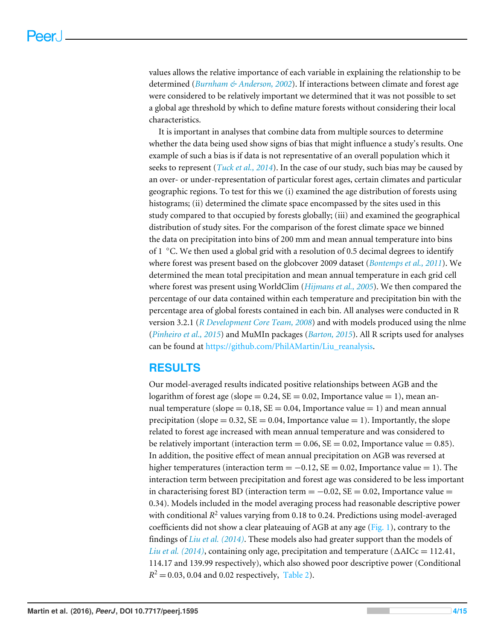<span id="page-4-0"></span>values allows the relative importance of each variable in explaining the relationship to be determined (*[Burnham & Anderson, 2002](#page-10-3)*). If interactions between climate and forest age were considered to be relatively important we determined that it was not possible to set a global age threshold by which to define mature forests without considering their local characteristics.

It is important in analyses that combine data from multiple sources to determine whether the data being used show signs of bias that might influence a study's results. One example of such a bias is if data is not representative of an overall population which it seeks to represent (*[Tuck et al., 2014](#page-13-6)*). In the case of our study, such bias may be caused by an over- or under-representation of particular forest ages, certain climates and particular geographic regions. To test for this we (i) examined the age distribution of forests using histograms; (ii) determined the climate space encompassed by the sites used in this study compared to that occupied by forests globally; (iii) and examined the geographical distribution of study sites. For the comparison of the forest climate space we binned the data on precipitation into bins of 200 mm and mean annual temperature into bins of 1 ◦C. We then used a global grid with a resolution of 0.5 decimal degrees to identify where forest was present based on the globcover 2009 dataset (*[Bontemps et al., 2011](#page-10-5)*). We determined the mean total precipitation and mean annual temperature in each grid cell where forest was present using WorldClim (*[Hijmans et al., 2005](#page-11-2)*). We then compared the percentage of our data contained within each temperature and precipitation bin with the percentage area of global forests contained in each bin. All analyses were conducted in R version 3.2.1 (*[R Development Core Team, 2008](#page-13-7)*) and with models produced using the nlme (*[Pinheiro et al., 2015](#page-13-8)*) and MuMIn packages (*[Barton, 2015](#page-9-4)*). All R scripts used for analyses can be found at [https://github.com/PhilAMartin/Liu\\_reanalysis.](https://github.com/PhilAMartin/Liu_reanalysis)

## **RESULTS**

Our model-averaged results indicated positive relationships between AGB and the logarithm of forest age (slope =  $0.24$ , SE = 0.02, Importance value = 1), mean annual temperature (slope =  $0.18$ , SE = 0.04, Importance value = 1) and mean annual precipitation (slope  $= 0.32$ , SE  $= 0.04$ , Importance value  $= 1$ ). Importantly, the slope related to forest age increased with mean annual temperature and was considered to be relatively important (interaction term = 0.06,  $SE = 0.02$ , Importance value = 0.85). In addition, the positive effect of mean annual precipitation on AGB was reversed at higher temperatures (interaction term =  $-0.12$ , SE = 0.02, Importance value = 1). The interaction term between precipitation and forest age was considered to be less important in characterising forest BD (interaction term  $= -0.02$ , SE  $= 0.02$ , Importance value  $=$ 0.34). Models included in the model averaging process had reasonable descriptive power with conditional R<sup>2</sup> values varying from 0.18 to 0.24. Predictions using model-averaged coefficients did not show a clear plateauing of AGB at any age  $(Fig, 1)$ , contrary to the findings of *[Liu et al. \(2014\)](#page-12-2)*. These models also had greater support than the models of *Liu et al.* (2014), containing only age, precipitation and temperature ( $\triangle$ AICc = 112.41, 114.17 and 139.99 respectively), which also showed poor descriptive power (Conditional  $R^2 = 0.03, 0.04$  and 0.02 respectively, [Table 2\)](#page-5-1).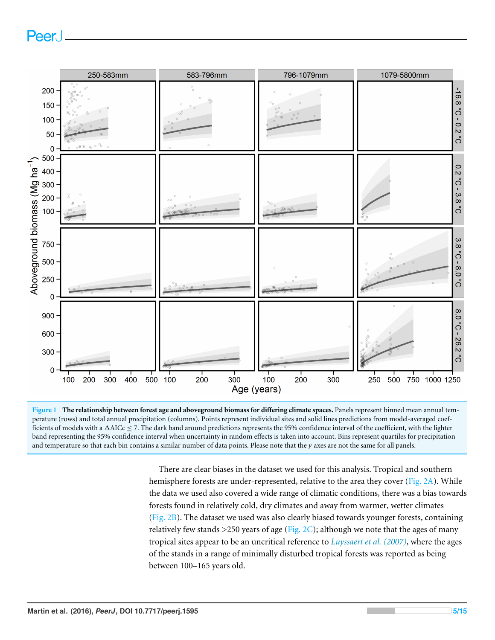<span id="page-5-0"></span>

<span id="page-5-1"></span>**Figure 1 The relationship between forest age and aboveground biomass for differing climate spaces.** Panels represent binned mean annual temperature (rows) and total annual precipitation (columns). Points represent individual sites and solid lines predictions from model-averaged coefficients of models with a  $\triangle$ AICc  $\leq$  7. The dark band around predictions represents the 95% confidence interval of the coefficient, with the lighter band representing the 95% confidence interval when uncertainty in random effects is taken into account. Bins represent quartiles for precipitation and temperature so that each bin contains a similar number of data points. Please note that the  $\gamma$  axes are not the same for all panels.

There are clear biases in the dataset we used for this analysis. Tropical and southern hemisphere forests are under-represented, relative to the area they cover [\(Fig. 2A\)](#page-6-0). While the data we used also covered a wide range of climatic conditions, there was a bias towards forests found in relatively cold, dry climates and away from warmer, wetter climates [\(Fig. 2B\)](#page-6-0). The dataset we used was also clearly biased towards younger forests, containing relatively few stands  $>$  250 years of age [\(Fig. 2C\)](#page-6-0); although we note that the ages of many tropical sites appear to be an uncritical reference to *[Luyssaert et al. \(2007\)](#page-12-4)*, where the ages of the stands in a range of minimally disturbed tropical forests was reported as being between 100–165 years old.

Peer.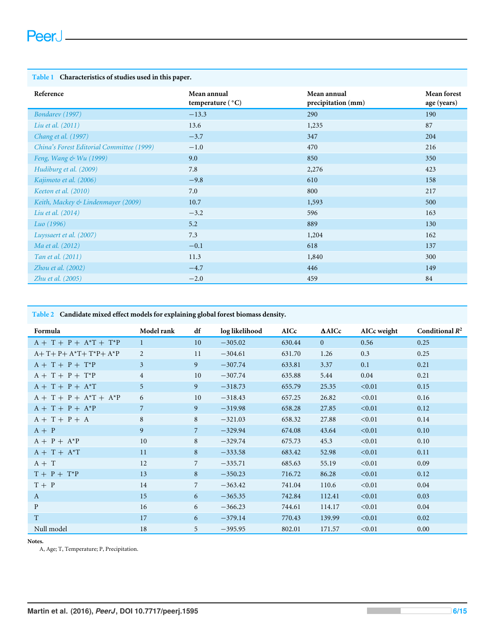#### <span id="page-6-0"></span>**Table 1 Characteristics of studies used in this paper.**

| Reference                                 | Mean annual<br>temperature $(^{\circ}C)$ | Mean annual<br>precipitation (mm) | <b>Mean forest</b><br>age (years) |
|-------------------------------------------|------------------------------------------|-----------------------------------|-----------------------------------|
| Bondarev (1997)                           | $-13.3$                                  | 290                               | 190                               |
| Liu et al. (2011)                         | 13.6                                     | 1,235                             | 87                                |
| Chang et al. (1997)                       | $-3.7$                                   | 347                               | 204                               |
| China's Forest Editorial Committee (1999) | $-1.0$                                   | 470                               | 216                               |
| Feng, Wang & Wu (1999)                    | 9.0                                      | 850                               | 350                               |
| Hudiburg et al. (2009)                    | 7.8                                      | 2,276                             | 423                               |
| Kajimoto et al. (2006)                    | $-9.8$                                   | 610                               | 158                               |
| Keeton et al. (2010)                      | 7.0                                      | 800                               | 217                               |
| Keith, Mackey & Lindenmayer (2009)        | 10.7                                     | 1,593                             | 500                               |
| Liu et al. (2014)                         | $-3.2$                                   | 596                               | 163                               |
| Luo (1996)                                | 5.2                                      | 889                               | 130                               |
| Luyssaert et al. (2007)                   | 7.3                                      | 1,204                             | 162                               |
| Ma et al. (2012)                          | $-0.1$                                   | 618                               | 137                               |
| Tan et al. (2011)                         | 11.3                                     | 1,840                             | 300                               |
| Zhou et al. $(2002)$                      | $-4.7$                                   | 446                               | 149                               |
| Zhu et al. (2005)                         | $-2.0$                                   | 459                               | 84                                |

#### **Table 2 Candidate mixed effect models for explaining global forest biomass density.**

| Formula                   | Model rank     | df              | log likelihood | <b>AICc</b> | $\triangle$ AICc | AICc weight | Conditional $R^2$ |
|---------------------------|----------------|-----------------|----------------|-------------|------------------|-------------|-------------------|
| $A + T + P + A^*T + T^*P$ | $\mathbf{1}$   | 10 <sup>1</sup> | $-305.02$      | 630.44      | $\Omega$         | 0.56        | 0.25              |
| $A+T+P+A^*T+T^*P+A^*P$    | 2              | 11              | $-304.61$      | 631.70      | 1.26             | 0.3         | 0.25              |
| $A + T + P + T^*P$        | 3              | 9               | $-307.74$      | 633.81      | 3.37             | 0.1         | 0.21              |
| $A + T + P + T^*P$        | $\overline{4}$ | 10              | $-307.74$      | 635.88      | 5.44             | 0.04        | 0.21              |
| $A + T + P + A^*T$        | 5              | 9               | $-318.73$      | 655.79      | 25.35            | < 0.01      | 0.15              |
| $A + T + P + A^*T + A^*P$ | 6              | 10              | $-318.43$      | 657.25      | 26.82            | < 0.01      | 0.16              |
| $A + T + P + A^*P$        | 7              | 9               | $-319.98$      | 658.28      | 27.85            | < 0.01      | 0.12              |
| $A + T + P + A$           | 8              | 8               | $-321.03$      | 658.32      | 27.88            | < 0.01      | 0.14              |
| $A + P$                   | 9              | $\overline{7}$  | $-329.94$      | 674.08      | 43.64            | < 0.01      | 0.10              |
| $A + P + A^*P$            | 10             | 8               | $-329.74$      | 675.73      | 45.3             | < 0.01      | 0.10              |
| $A + T + A^*T$            | 11             | 8               | $-333.58$      | 683.42      | 52.98            | < 0.01      | 0.11              |
| $A + T$                   | 12             | $\overline{7}$  | $-335.71$      | 685.63      | 55.19            | < 0.01      | 0.09              |
| $T + P + T^*P$            | 13             | 8               | $-350.23$      | 716.72      | 86.28            | < 0.01      | 0.12              |
| $T + P$                   | 14             | $\overline{7}$  | $-363.42$      | 741.04      | 110.6            | < 0.01      | 0.04              |
| A                         | 15             | 6               | $-365.35$      | 742.84      | 112.41           | < 0.01      | 0.03              |
| $\mathbf{P}$              | 16             | 6               | $-366.23$      | 744.61      | 114.17           | < 0.01      | 0.04              |
| T                         | 17             | 6               | $-379.14$      | 770.43      | 139.99           | < 0.01      | 0.02              |
| Null model                | 18             | 5               | $-395.95$      | 802.01      | 171.57           | < 0.01      | 0.00              |

**Notes.**

A, Age; T, Temperature; P, Precipitation.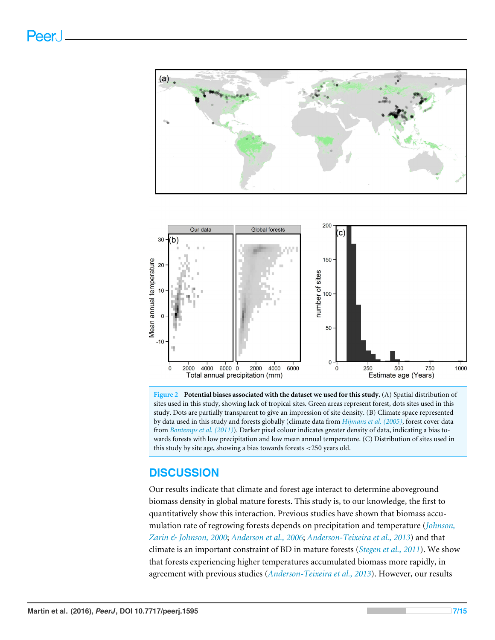

**Figure 2 Potential biases associated with the dataset we used for this study.** (A) Spatial distribution of sites used in this study, showing lack of tropical sites. Green areas represent forest, dots sites used in this study. Dots are partially transparent to give an impression of site density. (B) Climate space represented by data used in this study and forests globally (climate data from *[Hijmans et al. \(2005\)](#page-11-2)*, forest cover data from *[Bontemps et al. \(2011\)](#page-10-5)*). Darker pixel colour indicates greater density of data, indicating a bias towards forests with low precipitation and low mean annual temperature. (C) Distribution of sites used in this study by site age, showing a bias towards forests <250 years old.

## **DISCUSSION**

Our results indicate that climate and forest age interact to determine aboveground biomass density in global mature forests. This study is, to our knowledge, the first to quantitatively show this interaction. Previous studies have shown that biomass accumulation rate of regrowing forests depends on precipitation and temperature (*[Johnson,](#page-11-1) [Zarin & Johnson, 2000](#page-11-1)*; *[Anderson et al., 2006](#page-9-2)*; *[Anderson-Teixeira et al., 2013](#page-9-3)*) and that climate is an important constraint of BD in mature forests (*[Stegen et al., 2011](#page-13-3)*). We show that forests experiencing higher temperatures accumulated biomass more rapidly, in agreement with previous studies (*[Anderson-Teixeira et al., 2013](#page-9-3)*). However, our results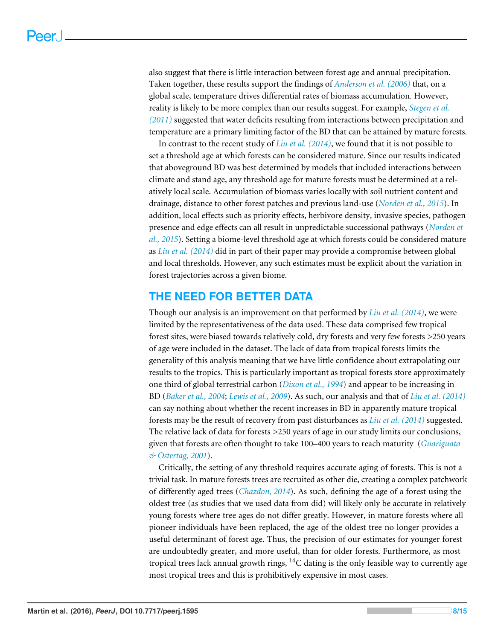also suggest that there is little interaction between forest age and annual precipitation. Taken together, these results support the findings of *[Anderson et al. \(2006\)](#page-9-2)* that, on a global scale, temperature drives differential rates of biomass accumulation. However, reality is likely to be more complex than our results suggest. For example, *[Stegen et al.](#page-13-3) [\(2011\)](#page-13-3)* suggested that water deficits resulting from interactions between precipitation and temperature are a primary limiting factor of the BD that can be attained by mature forests.

In contrast to the recent study of *[Liu et al. \(2014\)](#page-12-2)*, we found that it is not possible to set a threshold age at which forests can be considered mature. Since our results indicated that aboveground BD was best determined by models that included interactions between climate and stand age, any threshold age for mature forests must be determined at a relatively local scale. Accumulation of biomass varies locally with soil nutrient content and drainage, distance to other forest patches and previous land-use (*[Norden et al., 2015](#page-13-10)*). In addition, local effects such as priority effects, herbivore density, invasive species, pathogen presence and edge effects can all result in unpredictable successional pathways (*[Norden et](#page-13-10) [al., 2015](#page-13-10)*). Setting a biome-level threshold age at which forests could be considered mature as *[Liu et al. \(2014\)](#page-12-2)* did in part of their paper may provide a compromise between global and local thresholds. However, any such estimates must be explicit about the variation in forest trajectories across a given biome.

## **THE NEED FOR BETTER DATA**

Though our analysis is an improvement on that performed by *[Liu et al. \(2014\)](#page-12-2)*, we were limited by the representativeness of the data used. These data comprised few tropical forest sites, were biased towards relatively cold, dry forests and very few forests >250 years of age were included in the dataset. The lack of data from tropical forests limits the generality of this analysis meaning that we have little confidence about extrapolating our results to the tropics. This is particularly important as tropical forests store approximately one third of global terrestrial carbon (*[Dixon et al., 1994](#page-11-8)*) and appear to be increasing in BD (*[Baker et al., 2004](#page-9-1)*; *[Lewis et al., 2009](#page-12-0)*). As such, our analysis and that of *[Liu et al. \(2014\)](#page-12-2)* can say nothing about whether the recent increases in BD in apparently mature tropical forests may be the result of recovery from past disturbances as *[Liu et al. \(2014\)](#page-12-2)* suggested. The relative lack of data for forests >250 years of age in our study limits our conclusions, given that forests are often thought to take 100–400 years to reach maturity (*[Guariguata](#page-11-9) [& Ostertag, 2001](#page-11-9)*).

Critically, the setting of any threshold requires accurate aging of forests. This is not a trivial task. In mature forests trees are recruited as other die, creating a complex patchwork of differently aged trees (*[Chazdon, 2014](#page-10-8)*). As such, defining the age of a forest using the oldest tree (as studies that we used data from did) will likely only be accurate in relatively young forests where tree ages do not differ greatly. However, in mature forests where all pioneer individuals have been replaced, the age of the oldest tree no longer provides a useful determinant of forest age. Thus, the precision of our estimates for younger forest are undoubtedly greater, and more useful, than for older forests. Furthermore, as most tropical trees lack annual growth rings,  ${}^{14}C$  dating is the only feasible way to currently age most tropical trees and this is prohibitively expensive in most cases.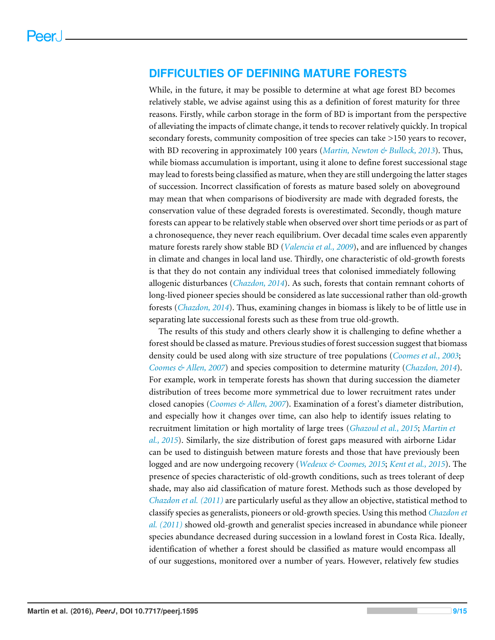#### **DIFFICULTIES OF DEFINING MATURE FORESTS**

<span id="page-9-0"></span>While, in the future, it may be possible to determine at what age forest BD becomes relatively stable, we advise against using this as a definition of forest maturity for three reasons. Firstly, while carbon storage in the form of BD is important from the perspective of alleviating the impacts of climate change, it tends to recover relatively quickly. In tropical secondary forests, community composition of tree species can take >150 years to recover, with BD recovering in approximately 100 years (*[Martin, Newton & Bullock, 2013](#page-12-3)*). Thus, while biomass accumulation is important, using it alone to define forest successional stage may lead to forests being classified as mature, when they are still undergoing the latter stages of succession. Incorrect classification of forests as mature based solely on aboveground may mean that when comparisons of biodiversity are made with degraded forests, the conservation value of these degraded forests is overestimated. Secondly, though mature forests can appear to be relatively stable when observed over short time periods or as part of a chronosequence, they never reach equilibrium. Over decadal time scales even apparently mature forests rarely show stable BD (*[Valencia et al., 2009](#page-13-11)*), and are influenced by changes in climate and changes in local land use. Thirdly, one characteristic of old-growth forests is that they do not contain any individual trees that colonised immediately following allogenic disturbances (*[Chazdon, 2014](#page-10-8)*). As such, forests that contain remnant cohorts of long-lived pioneer species should be considered as late successional rather than old-growth forests (*[Chazdon, 2014](#page-10-8)*). Thus, examining changes in biomass is likely to be of little use in separating late successional forests such as these from true old-growth.

<span id="page-9-5"></span><span id="page-9-4"></span><span id="page-9-3"></span><span id="page-9-2"></span><span id="page-9-1"></span>The results of this study and others clearly show it is challenging to define whether a forest should be classed as mature. Previous studies of forest succession suggest that biomass density could be used along with size structure of tree populations (*[Coomes et al., 2003](#page-11-10)*; *[Coomes & Allen, 2007](#page-11-11)*) and species composition to determine maturity (*[Chazdon, 2014](#page-10-8)*). For example, work in temperate forests has shown that during succession the diameter distribution of trees become more symmetrical due to lower recruitment rates under closed canopies (*[Coomes & Allen, 2007](#page-11-11)*). Examination of a forest's diameter distribution, and especially how it changes over time, can also help to identify issues relating to recruitment limitation or high mortality of large trees (*[Ghazoul et al., 2015](#page-11-12)*; *[Martin et](#page-12-8) [al., 2015](#page-12-8)*). Similarly, the size distribution of forest gaps measured with airborne Lidar can be used to distinguish between mature forests and those that have previously been logged and are now undergoing recovery (*[Wedeux & Coomes, 2015](#page-13-12)*; *[Kent et al., 2015](#page-11-13)*). The presence of species characteristic of old-growth conditions, such as trees tolerant of deep shade, may also aid classification of mature forest. Methods such as those developed by *[Chazdon et al. \(2011\)](#page-10-9)* are particularly useful as they allow an objective, statistical method to classify species as generalists, pioneers or old-growth species. Using this method *[Chazdon et](#page-10-9) [al. \(2011\)](#page-10-9)* showed old-growth and generalist species increased in abundance while pioneer species abundance decreased during succession in a lowland forest in Costa Rica. Ideally, identification of whether a forest should be classified as mature would encompass all of our suggestions, monitored over a number of years. However, relatively few studies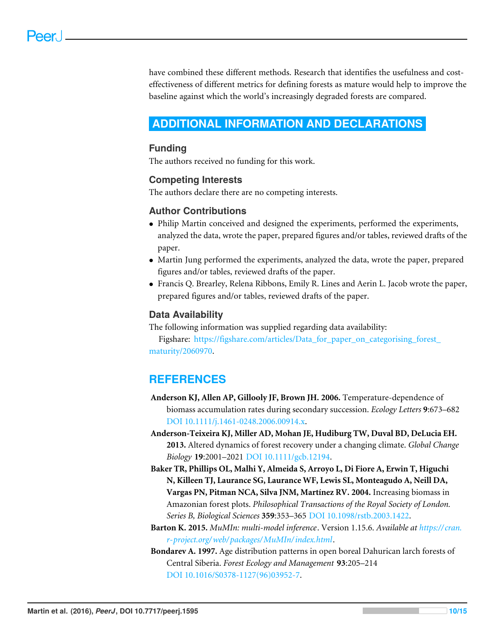<span id="page-10-5"></span>have combined these different methods. Research that identifies the usefulness and costeffectiveness of different metrics for defining forests as mature would help to improve the baseline against which the world's increasingly degraded forests are compared.

## <span id="page-10-1"></span>**ADDITIONAL INFORMATION AND DECLARATIONS**

#### **Funding**

The authors received no funding for this work.

#### **Competing Interests**

The authors declare there are no competing interests.

#### **Author Contributions**

- [Philip Martin](#page-0-7) conceived and designed the experiments, performed the experiments, analyzed the data, wrote the paper, prepared figures and/or tables, reviewed drafts of the paper.
- [Martin Jung](#page-0-8) performed the experiments, analyzed the data, wrote the paper, prepared figures and/or tables, reviewed drafts of the paper.
- [Francis Q. Brearley,](#page-0-9) [Relena Ribbons,](#page-0-10) [Emily R. Lines](#page-0-11) and [Aerin L. Jacob](#page-0-12) wrote the paper, prepared figures and/or tables, reviewed drafts of the paper.

#### <span id="page-10-2"></span>**Data Availability**

The following information was supplied regarding data availability:

<span id="page-10-3"></span>Figshare: [https://figshare.com/articles/Data\\_for\\_paper\\_on\\_categorising\\_forest\\_](https://figshare.com/articles/Data_for_paper_on_categorising_forest_maturity/2060970) [maturity/2060970.](https://figshare.com/articles/Data_for_paper_on_categorising_forest_maturity/2060970)

## **REFERENCES**

- <span id="page-10-4"></span>**Anderson KJ, Allen AP, Gillooly JF, Brown JH. 2006.** Temperature-dependence of biomass accumulation rates during secondary succession. *Ecology Letters* **9**:673–682 [DOI 10.1111/j.1461-0248.2006.00914.x.](http://dx.doi.org/10.1111/j.1461-0248.2006.00914.x)
- <span id="page-10-6"></span><span id="page-10-0"></span>**Anderson-Teixeira KJ, Miller AD, Mohan JE, Hudiburg TW, Duval BD, DeLucia EH. 2013.** Altered dynamics of forest recovery under a changing climate. *Global Change Biology* **19**:2001–2021 [DOI 10.1111/gcb.12194.](http://dx.doi.org/10.1111/gcb.12194)
- <span id="page-10-9"></span>**Baker TR, Phillips OL, Malhi Y, Almeida S, Arroyo L, Di Fiore A, Erwin T, Higuchi N, Killeen TJ, Laurance SG, Laurance WF, Lewis SL, Monteagudo A, Neill DA, Vargas PN, Pitman NCA, Silva JNM, Martínez RV. 2004.** Increasing biomass in Amazonian forest plots. *Philosophical Transactions of the Royal Society of London. Series B, Biological Sciences* **359**:353–365 [DOI 10.1098/rstb.2003.1422.](http://dx.doi.org/10.1098/rstb.2003.1422)
- <span id="page-10-8"></span><span id="page-10-7"></span>**Barton K. 2015.** *MuMIn: multi-model inference*. Version 1.15.6. *Available at [https:// cran.](https://cran.r-project.org/web/packages/MuMIn/index.html) [r-project.org/web/ packages/MuMIn/index.html](https://cran.r-project.org/web/packages/MuMIn/index.html)*.
- **Bondarev A. 1997.** Age distribution patterns in open boreal Dahurican larch forests of Central Siberia. *Forest Ecology and Management* **93**:205–214 [DOI 10.1016/S0378-1127\(96\)03952-7.](http://dx.doi.org/10.1016/S0378-1127(96)03952-7)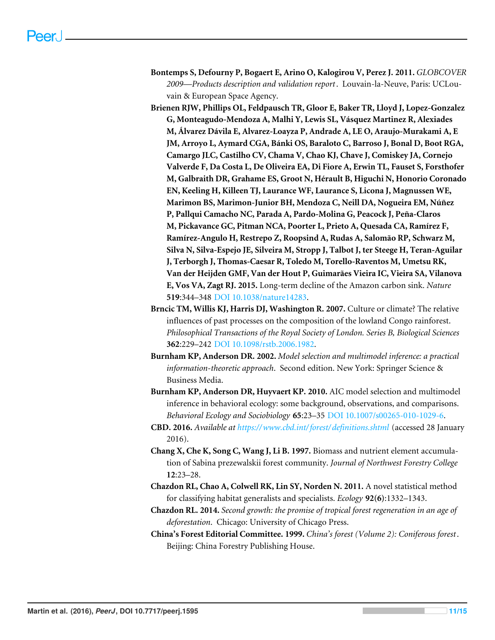- <span id="page-11-10"></span>**Bontemps S, Defourny P, Bogaert E, Arino O, Kalogirou V, Perez J. 2011.** *GLOBCOVER 2009—Products description and validation report*. Louvain-la-Neuve, Paris: UCLouvain & European Space Agency.
- <span id="page-11-11"></span><span id="page-11-8"></span><span id="page-11-3"></span><span id="page-11-0"></span>**Brienen RJW, Phillips OL, Feldpausch TR, Gloor E, Baker TR, Lloyd J, Lopez-Gonzalez G, Monteagudo-Mendoza A, Malhi Y, Lewis SL, Vásquez Martinez R, Alexiades M, Álvarez Dávila E, Alvarez-Loayza P, Andrade A, LE O, Araujo-Murakami A, E JM, Arroyo L, Aymard CGA, Bánki OS, Baraloto C, Barroso J, Bonal D, Boot RGA, Camargo JLC, Castilho CV, Chama V, Chao KJ, Chave J, Comiskey JA, Cornejo Valverde F, Da Costa L, De Oliveira EA, Di Fiore A, Erwin TL, Fauset S, Forsthofer M, Galbraith DR, Grahame ES, Groot N, Hérault B, Higuchi N, Honorio Coronado EN, Keeling H, Killeen TJ, Laurance WF, Laurance S, Licona J, Magnussen WE, Marimon BS, Marimon-Junior BH, Mendoza C, Neill DA, Nogueira EM, Núñez P, Pallqui Camacho NC, Parada A, Pardo-Molina G, Peacock J, Peña-Claros M, Pickavance GC, Pitman NCA, Poorter L, Prieto A, Quesada CA, Ramírez F, Ramírez-Angulo H, Restrepo Z, Roopsind A, Rudas A, Salomão RP, Schwarz M, Silva N, Silva-Espejo JE, Silveira M, Stropp J, Talbot J, ter Steege H, Teran-Aguilar J, Terborgh J, Thomas-Caesar R, Toledo M, Torello-Raventos M, Umetsu RK, Van der Heijden GMF, Van der Hout P, Guimarães Vieira IC, Vieira SA, Vilanova E, Vos VA, Zagt RJ. 2015.** Long-term decline of the Amazon carbon sink. *Nature* **519**:344–348 [DOI 10.1038/nature14283.](http://dx.doi.org/10.1038/nature14283)
- <span id="page-11-12"></span><span id="page-11-9"></span><span id="page-11-2"></span>**Brncic TM, Willis KJ, Harris DJ, Washington R. 2007.** Culture or climate? The relative influences of past processes on the composition of the lowland Congo rainforest. *Philosophical Transactions of the Royal Society of London. Series B, Biological Sciences* **362**:229–242 [DOI 10.1098/rstb.2006.1982.](http://dx.doi.org/10.1098/rstb.2006.1982)
- <span id="page-11-4"></span><span id="page-11-1"></span>**Burnham KP, Anderson DR. 2002.** *Model selection and multimodel inference: a practical information-theoretic approach*. Second edition. New York: Springer Science & Business Media.
- <span id="page-11-5"></span>**Burnham KP, Anderson DR, Huyvaert KP. 2010.** AIC model selection and multimodel inference in behavioral ecology: some background, observations, and comparisons. *Behavioral Ecology and Sociobiology* **65**:23–35 [DOI 10.1007/s00265-010-1029-6.](http://dx.doi.org/10.1007/s00265-010-1029-6)
- **CBD. 2016.** *Available at <https://www.cbd.int/forest/definitions.shtml>* (accessed 28 January 2016).
- <span id="page-11-6"></span>**Chang X, Che K, Song C, Wang J, Li B. 1997.** Biomass and nutrient element accumulation of Sabina prezewalskii forest community. *Journal of Northwest Forestry College* **12**:23–28.
- **Chazdon RL, Chao A, Colwell RK, Lin SY, Norden N. 2011.** A novel statistical method for classifying habitat generalists and specialists. *Ecology* **92(6)**:1332–1343.
- <span id="page-11-7"></span>**Chazdon RL. 2014.** *Second growth: the promise of tropical forest regeneration in an age of deforestation*. Chicago: University of Chicago Press.
- <span id="page-11-13"></span>**China's Forest Editorial Committee. 1999.** *China's forest (Volume 2): Coniferous forest*. Beijing: China Forestry Publishing House.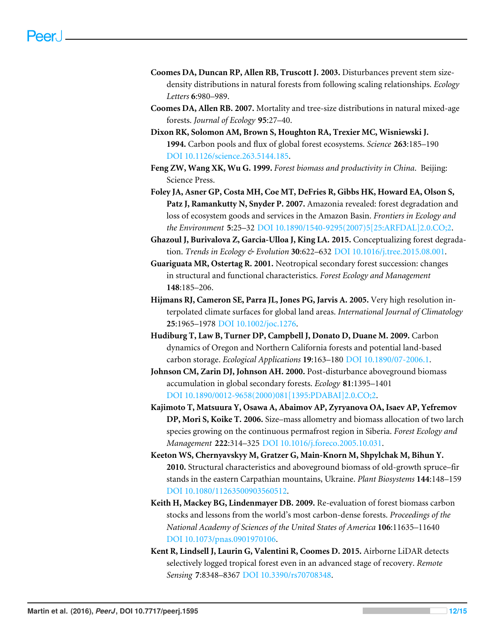- <span id="page-12-0"></span>**Coomes DA, Duncan RP, Allen RB, Truscott J. 2003.** Disturbances prevent stem sizedensity distributions in natural forests from following scaling relationships. *Ecology Letters* **6**:980–989.
- **Coomes DA, Allen RB. 2007.** Mortality and tree-size distributions in natural mixed-age forests. *Journal of Ecology* **95**:27–40.
- **Dixon RK, Solomon AM, Brown S, Houghton RA, Trexier MC, Wisniewski J. 1994.** Carbon pools and flux of global forest ecosystems. *Science* **263**:185–190 [DOI 10.1126/science.263.5144.185.](http://dx.doi.org/10.1126/science.263.5144.185)
- <span id="page-12-5"></span>**Feng ZW, Wang XK, Wu G. 1999.** *Forest biomass and productivity in China*. Beijing: Science Press.
- <span id="page-12-2"></span>**Foley JA, Asner GP, Costa MH, Coe MT, DeFries R, Gibbs HK, Howard EA, Olson S, Patz J, Ramankutty N, Snyder P. 2007.** Amazonia revealed: forest degradation and loss of ecosystem goods and services in the Amazon Basin. *Frontiers in Ecology and the Environment* **5**:25–32 [DOI 10.1890/1540-9295\(2007\)5\[25:ARFDAL\]2.0.CO;2.](http://dx.doi.org/10.1890/1540-9295(2007)5[25:ARFDAL]2.0.CO;2)
- <span id="page-12-6"></span>**Ghazoul J, Burivalova Z, Garcia-Ulloa J, King LA. 2015.** Conceptualizing forest degradation. *Trends in Ecology & Evolution* **30**:622–632 [DOI 10.1016/j.tree.2015.08.001.](http://dx.doi.org/10.1016/j.tree.2015.08.001)
- <span id="page-12-4"></span>**Guariguata MR, Ostertag R. 2001.** Neotropical secondary forest succession: changes in structural and functional characteristics. *Forest Ecology and Management* **148**:185–206.
- **Hijmans RJ, Cameron SE, Parra JL, Jones PG, Jarvis A. 2005.** Very high resolution interpolated climate surfaces for global land areas. *International Journal of Climatology* **25**:1965–1978 [DOI 10.1002/joc.1276.](http://dx.doi.org/10.1002/joc.1276)
- **Hudiburg T, Law B, Turner DP, Campbell J, Donato D, Duane M. 2009.** Carbon dynamics of Oregon and Northern California forests and potential land-based carbon storage. *Ecological Applications* **19**:163–180 [DOI 10.1890/07-2006.1.](http://dx.doi.org/10.1890/07-2006.1)
- **Johnson CM, Zarin DJ, Johnson AH. 2000.** Post-disturbance aboveground biomass accumulation in global secondary forests. *Ecology* **81**:1395–1401 [DOI 10.1890/0012-9658\(2000\)081\[1395:PDABAI\]2.0.CO;2.](http://dx.doi.org/10.1890/0012-9658(2000)081[1395:PDABAI]2.0.CO;2)
- <span id="page-12-7"></span>**Kajimoto T, Matsuura Y, Osawa A, Abaimov AP, Zyryanova OA, Isaev AP, Yefremov DP, Mori S, Koike T. 2006.** Size–mass allometry and biomass allocation of two larch species growing on the continuous permafrost region in Siberia. *Forest Ecology and Management* **222**:314–325 [DOI 10.1016/j.foreco.2005.10.031.](http://dx.doi.org/10.1016/j.foreco.2005.10.031)
- <span id="page-12-8"></span>**Keeton WS, Chernyavskyy M, Gratzer G, Main-Knorn M, Shpylchak M, Bihun Y. 2010.** Structural characteristics and aboveground biomass of old-growth spruce–fir stands in the eastern Carpathian mountains, Ukraine. *Plant Biosystems* **144**:148–159 [DOI 10.1080/11263500903560512.](http://dx.doi.org/10.1080/11263500903560512)
- <span id="page-12-3"></span>**Keith H, Mackey BG, Lindenmayer DB. 2009.** Re-evaluation of forest biomass carbon stocks and lessons from the world's most carbon-dense forests. *Proceedings of the National Academy of Sciences of the United States of America* **106**:11635–11640 [DOI 10.1073/pnas.0901970106.](http://dx.doi.org/10.1073/pnas.0901970106)
- <span id="page-12-1"></span>**Kent R, Lindsell J, Laurin G, Valentini R, Coomes D. 2015.** Airborne LiDAR detects selectively logged tropical forest even in an advanced stage of recovery. *Remote Sensing* **7**:8348–8367 [DOI 10.3390/rs70708348.](http://dx.doi.org/10.3390/rs70708348)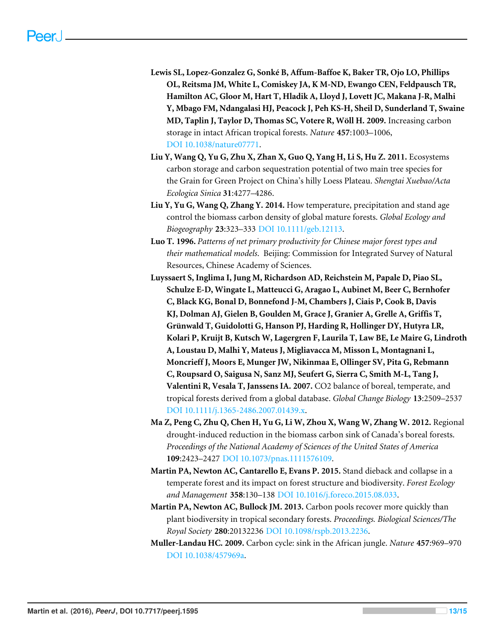- <span id="page-13-10"></span><span id="page-13-5"></span>**Lewis SL, Lopez-Gonzalez G, Sonké B, Affum-Baffoe K, Baker TR, Ojo LO, Phillips OL, Reitsma JM, White L, Comiskey JA, K M-ND, Ewango CEN, Feldpausch TR, Hamilton AC, Gloor M, Hart T, Hladik A, Lloyd J, Lovett JC, Makana J-R, Malhi Y, Mbago FM, Ndangalasi HJ, Peacock J, Peh KS-H, Sheil D, Sunderland T, Swaine MD, Taplin J, Taylor D, Thomas SC, Votere R, Wöll H. 2009.** Increasing carbon storage in intact African tropical forests. *Nature* **457**:1003–1006, [DOI 10.1038/nature07771.](http://dx.doi.org/10.1038/nature07771)
- <span id="page-13-1"></span>**Liu Y, Wang Q, Yu G, Zhu X, Zhan X, Guo Q, Yang H, Li S, Hu Z. 2011.** Ecosystems carbon storage and carbon sequestration potential of two main tree species for the Grain for Green Project on China's hilly Loess Plateau. *Shengtai Xuebao/Acta Ecologica Sinica* **31**:4277–4286.
- <span id="page-13-0"></span>**Liu Y, Yu G, Wang Q, Zhang Y. 2014.** How temperature, precipitation and stand age control the biomass carbon density of global mature forests. *Global Ecology and Biogeography* **23**:323–333 [DOI 10.1111/geb.12113.](http://dx.doi.org/10.1111/geb.12113)
- <span id="page-13-8"></span>**Luo T. 1996.** *Patterns of net primary productivity for Chinese major forest types and their mathematical models*. Beijing: Commission for Integrated Survey of Natural Resources, Chinese Academy of Sciences.
- <span id="page-13-7"></span><span id="page-13-4"></span><span id="page-13-3"></span>**Luyssaert S, Inglima I, Jung M, Richardson AD, Reichstein M, Papale D, Piao SL, Schulze E-D, Wingate L, Matteucci G, Aragao L, Aubinet M, Beer C, Bernhofer C, Black KG, Bonal D, Bonnefond J-M, Chambers J, Ciais P, Cook B, Davis KJ, Dolman AJ, Gielen B, Goulden M, Grace J, Granier A, Grelle A, Griffis T, Grünwald T, Guidolotti G, Hanson PJ, Harding R, Hollinger DY, Hutyra LR, Kolari P, Kruijt B, Kutsch W, Lagergren F, Laurila T, Law BE, Le Maire G, Lindroth A, Loustau D, Malhi Y, Mateus J, Migliavacca M, Misson L, Montagnani L, Moncrieff J, Moors E, Munger JW, Nikinmaa E, Ollinger SV, Pita G, Rebmann C, Roupsard O, Saigusa N, Sanz MJ, Seufert G, Sierra C, Smith M-L, Tang J, Valentini R, Vesala T, Janssens IA. 2007.** CO2 balance of boreal, temperate, and tropical forests derived from a global database. *Global Change Biology* **13**:2509–2537 [DOI 10.1111/j.1365-2486.2007.01439.x.](http://dx.doi.org/10.1111/j.1365-2486.2007.01439.x)
- <span id="page-13-9"></span><span id="page-13-6"></span>**Ma Z, Peng C, Zhu Q, Chen H, Yu G, Li W, Zhou X, Wang W, Zhang W. 2012.** Regional drought-induced reduction in the biomass carbon sink of Canada's boreal forests. *Proceedings of the National Academy of Sciences of the United States of America* **109**:2423–2427 [DOI 10.1073/pnas.1111576109.](http://dx.doi.org/10.1073/pnas.1111576109)
- <span id="page-13-11"></span>**Martin PA, Newton AC, Cantarello E, Evans P. 2015.** Stand dieback and collapse in a temperate forest and its impact on forest structure and biodiversity. *Forest Ecology and Management* **358**:130–138 [DOI 10.1016/j.foreco.2015.08.033.](http://dx.doi.org/10.1016/j.foreco.2015.08.033)
- <span id="page-13-12"></span>**Martin PA, Newton AC, Bullock JM. 2013.** Carbon pools recover more quickly than plant biodiversity in tropical secondary forests. *Proceedings. Biological Sciences/The Royal Society* **280**:20132236 [DOI 10.1098/rspb.2013.2236.](http://dx.doi.org/10.1098/rspb.2013.2236)
- <span id="page-13-2"></span>**Muller-Landau HC. 2009.** Carbon cycle: sink in the African jungle. *Nature* **457**:969–970 [DOI 10.1038/457969a.](http://dx.doi.org/10.1038/457969a)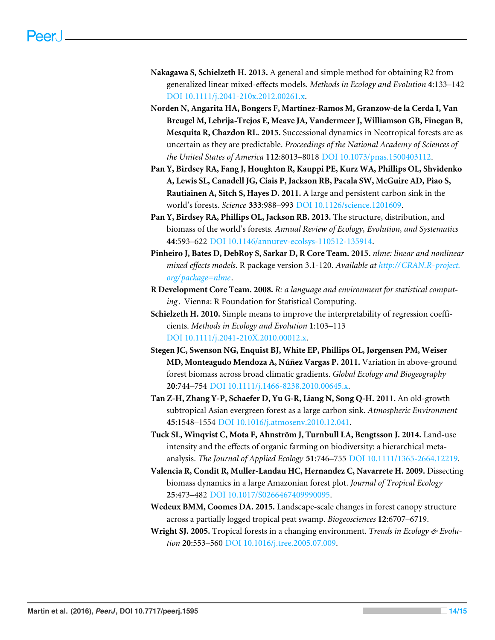- <span id="page-14-0"></span>**Nakagawa S, Schielzeth H. 2013.** A general and simple method for obtaining R2 from generalized linear mixed-effects models. *Methods in Ecology and Evolution* **4**:133–142 [DOI 10.1111/j.2041-210x.2012.00261.x.](http://dx.doi.org/10.1111/j.2041-210x.2012.00261.x)
- <span id="page-14-1"></span>**Norden N, Angarita HA, Bongers F, Martínez-Ramos M, Granzow-de la Cerda I, Van Breugel M, Lebrija-Trejos E, Meave JA, Vandermeer J, Williamson GB, Finegan B, Mesquita R, Chazdon RL. 2015.** Successional dynamics in Neotropical forests are as uncertain as they are predictable. *Proceedings of the National Academy of Sciences of the United States of America* **112**:8013–8018 [DOI 10.1073/pnas.1500403112.](http://dx.doi.org/10.1073/pnas.1500403112)
- **Pan Y, Birdsey RA, Fang J, Houghton R, Kauppi PE, Kurz WA, Phillips OL, Shvidenko A, Lewis SL, Canadell JG, Ciais P, Jackson RB, Pacala SW, McGuire AD, Piao S, Rautiainen A, Sitch S, Hayes D. 2011.** A large and persistent carbon sink in the world's forests. *Science* **333**:988–993 [DOI 10.1126/science.1201609.](http://dx.doi.org/10.1126/science.1201609)
- **Pan Y, Birdsey RA, Phillips OL, Jackson RB. 2013.** The structure, distribution, and biomass of the world's forests. *Annual Review of Ecology, Evolution, and Systematics* **44**:593–622 [DOI 10.1146/annurev-ecolsys-110512-135914.](http://dx.doi.org/10.1146/annurev-ecolsys-110512-135914)
- **Pinheiro J, Bates D, DebRoy S, Sarkar D, R Core Team. 2015.** *nlme: linear and nonlinear mixed effects models*. R package version 3.1-120. *Available at [http://CRAN.R-project.](http://CRAN.R-project.org/package=nlme) [org/package=nlme](http://CRAN.R-project.org/package=nlme)*.
- **R Development Core Team. 2008.** *R: a language and environment for statistical comput*ing. Vienna: R Foundation for Statistical Computing.
- **Schielzeth H. 2010.** Simple means to improve the interpretability of regression coefficients. *Methods in Ecology and Evolution* **1**:103–113 [DOI 10.1111/j.2041-210X.2010.00012.x.](http://dx.doi.org/10.1111/j.2041-210X.2010.00012.x)
- **Stegen JC, Swenson NG, Enquist BJ, White EP, Phillips OL, Jørgensen PM, Weiser MD, Monteagudo Mendoza A, Núñez Vargas P. 2011.** Variation in above-ground forest biomass across broad climatic gradients. *Global Ecology and Biogeography* **20**:744–754 [DOI 10.1111/j.1466-8238.2010.00645.x.](http://dx.doi.org/10.1111/j.1466-8238.2010.00645.x)
- **Tan Z-H, Zhang Y-P, Schaefer D, Yu G-R, Liang N, Song Q-H. 2011.** An old-growth subtropical Asian evergreen forest as a large carbon sink. *Atmospheric Environment* **45**:1548–1554 [DOI 10.1016/j.atmosenv.2010.12.041.](http://dx.doi.org/10.1016/j.atmosenv.2010.12.041)
- **Tuck SL, Winqvist C, Mota F, Ahnström J, Turnbull LA, Bengtsson J. 2014.** Land-use intensity and the effects of organic farming on biodiversity: a hierarchical metaanalysis. *The Journal of Applied Ecology* **51**:746–755 [DOI 10.1111/1365-2664.12219.](http://dx.doi.org/10.1111/1365-2664.12219)
- **Valencia R, Condit R, Muller-Landau HC, Hernandez C, Navarrete H. 2009.** Dissecting biomass dynamics in a large Amazonian forest plot. *Journal of Tropical Ecology* **25**:473–482 [DOI 10.1017/S0266467409990095.](http://dx.doi.org/10.1017/S0266467409990095)
- **Wedeux BMM, Coomes DA. 2015.** Landscape-scale changes in forest canopy structure across a partially logged tropical peat swamp. *Biogeosciences* **12**:6707–6719.
- **Wright SJ. 2005.** Tropical forests in a changing environment. *Trends in Ecology & Evolution* **20**:553–560 [DOI 10.1016/j.tree.2005.07.009.](http://dx.doi.org/10.1016/j.tree.2005.07.009)